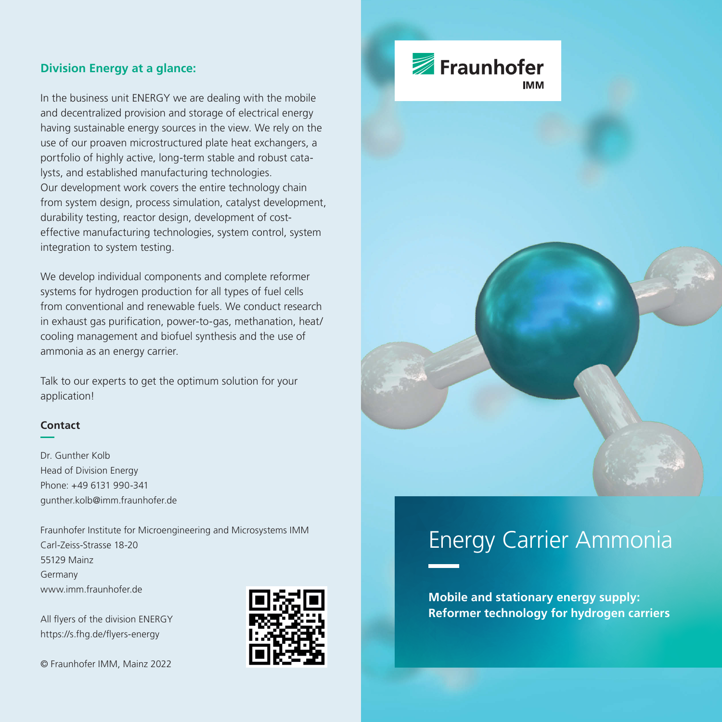### **Division Energy at a glance:**

In the business unit ENERGY we are dealing with the mobile and decentralized provision and storage of electrical energy having sustainable energy sources in the view. We rely on the use of our proaven microstructured plate heat exchangers, a portfolio of highly active, long-term stable and robust catalysts, and established manufacturing technologies. Our development work covers the entire technology chain from system design, process simulation, catalyst development, durability testing, reactor design, development of costeffective manufacturing technologies, system control, system integration to system testing.

We develop individual components and complete reformer systems for hydrogen production for all types of fuel cells from conventional and renewable fuels. We conduct research in exhaust gas purification, power-to-gas, methanation, heat/ cooling management and biofuel synthesis and the use of ammonia as an energy carrier.

Talk to our experts to get the optimum solution for your application!

## **Contact**

Dr. Gunther Kolb Head of Division Energy Phone: +49 6131 990-341 gunther.kolb@imm.fraunhofer.de

Fraunhofer Institute for Microengineering and Microsystems IMM Carl-Zeiss-Strasse 18-20 55129 Mainz Germany www.imm.fraunhofer.de

All flyers of the division ENERGY https://s.fhg.de/flyers-energy

© Fraunhofer IMM, Mainz 2022



# Fraunhofer



# Energy Carrier Ammonia

**Mobile and stationary energy supply: Reformer technology for hydrogen carriers**